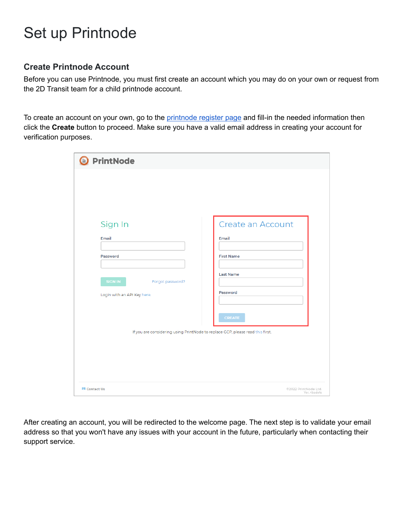# Set up Printnode

### **Create Printnode Account**

Before you can use Printnode, you must first create an account which you may do on your own or request from the 2D Transit team for a child printnode account.

To create an account on your own, go to the [printnode](https://api.printnode.com/app/login/register) register page and fill-in the needed information then click the **Create** button to proceed. Make sure you have a valid email address in creating your account for verification purposes.

| <b>O</b> PrintNode                                                             |                                      |
|--------------------------------------------------------------------------------|--------------------------------------|
|                                                                                |                                      |
|                                                                                |                                      |
|                                                                                |                                      |
| Sign In                                                                        | Create an Account                    |
| Email                                                                          | Email                                |
| Password                                                                       | <b>First Name</b>                    |
| <b>SIGN IN</b><br>Forgot password?                                             | <b>Last Name</b>                     |
| Login with an API Key here.                                                    | Password                             |
|                                                                                | <b>CREATE</b>                        |
| If you are considering using PrintNode to replace GCP, please read this first. |                                      |
|                                                                                |                                      |
|                                                                                |                                      |
|                                                                                |                                      |
| <b>⊠</b> Contact Us                                                            | @2022 PrintNode Ltd.<br>Ver. 4badefe |

After creating an account, you will be redirected to the welcome page. The next step is to validate your email address so that you won't have any issues with your account in the future, particularly when contacting their support service.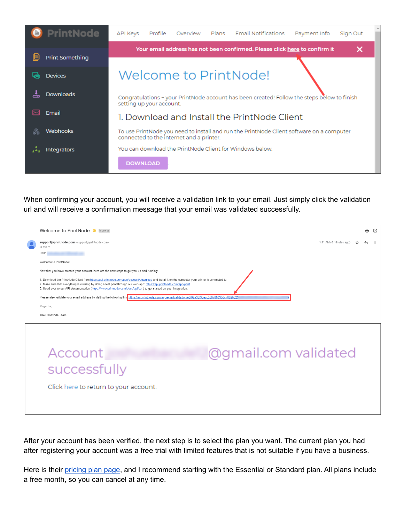|    | <b>PrintNode</b>       | API Keys                                                                                                                             | Profile                                                                                                                 | Overview |  | Plans Email Notifications                                                  | Payment Info | Sign Out |  |  |  |
|----|------------------------|--------------------------------------------------------------------------------------------------------------------------------------|-------------------------------------------------------------------------------------------------------------------------|----------|--|----------------------------------------------------------------------------|--------------|----------|--|--|--|
| ib | <b>Print Something</b> |                                                                                                                                      |                                                                                                                         |          |  | Your email address has not been confirmed. Please click here to confirm it |              | ×        |  |  |  |
|    | <b>Devices</b>         |                                                                                                                                      |                                                                                                                         |          |  | Welcome to PrintNode!                                                      |              |          |  |  |  |
|    | <b>Downloads</b>       |                                                                                                                                      | Congratulations - your PrintNode account has been created! Follow the steps below to finish<br>setting up your account. |          |  |                                                                            |              |          |  |  |  |
|    | Email                  |                                                                                                                                      |                                                                                                                         |          |  | 1. Download and Install the PrintNode Client                               |              |          |  |  |  |
|    | Webhooks               | To use PrintNode you need to install and run the PrintNode Client software on a computer<br>connected to the internet and a printer. |                                                                                                                         |          |  |                                                                            |              |          |  |  |  |
|    | Integrators            |                                                                                                                                      |                                                                                                                         |          |  | You can download the PrintNode Client for Windows below.                   |              |          |  |  |  |
|    |                        | <b>DOWNLOAD</b>                                                                                                                      |                                                                                                                         |          |  |                                                                            |              |          |  |  |  |

When confirming your account, you will receive a validation link to your email. Just simply click the validation url and will receive a confirmation message that your email was validated successfully.

| Welcome to PrintNode > Inbox x                                                                                                                                                                                                                                                                                                                                                                     |                         | e | ☑ |
|----------------------------------------------------------------------------------------------------------------------------------------------------------------------------------------------------------------------------------------------------------------------------------------------------------------------------------------------------------------------------------------------------|-------------------------|---|---|
| support@printnode.com <support@printnode.com><br/>to me <math>\star</math></support@printnode.com>                                                                                                                                                                                                                                                                                                 | 3:41 AM (0 minutes ago) |   |   |
| Hello                                                                                                                                                                                                                                                                                                                                                                                              |                         |   |   |
| Welcome to PrintNode!                                                                                                                                                                                                                                                                                                                                                                              |                         |   |   |
| Now that you have created your account, here are the next steps to get you up and running:                                                                                                                                                                                                                                                                                                         |                         |   |   |
| 1. Download the PrintNode Client from https://api.printnode.com/app/account/download and install it on the computer your printer is connected to.<br>2. Make sure that everything is working by doing a test print through our web app: https://api.printnode.com/app/print<br>3. Head over to our API documentation (https://www.printnode.com/docs/api/curl) to get started on your integration. |                         |   |   |
| Please also validate your email address by visiting the following link https://api.printnode.com/app/emailvalidation/e8f02a35f90ecc3687600950c78820329                                                                                                                                                                                                                                             |                         |   |   |
| Regards,                                                                                                                                                                                                                                                                                                                                                                                           |                         |   |   |
| The PrintNode Team                                                                                                                                                                                                                                                                                                                                                                                 |                         |   |   |
| Account<br>successfully<br>Click here to return to your account.                                                                                                                                                                                                                                                                                                                                   | @gmail.com validated    |   |   |

After your account has been verified, the next step is to select the plan you want. The current plan you had after registering your account was a free trial with limited features that is not suitable if you have a business.

Here is their [pricing](https://www.printnode.com/en/pricing) plan page, and I recommend starting with the Essential or Standard plan. All plans include a free month, so you can cancel at any time.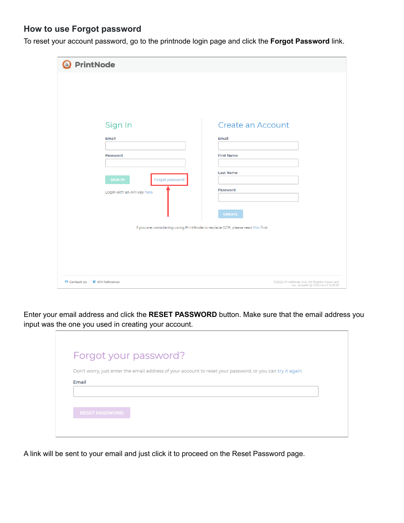### **How to use Forgot password**

To reset your account password, go to the printnode login page and click the **Forgot Password** link.

| <b>O</b> PrintNode                                                                                                                                                                  |                                                                                                  |
|-------------------------------------------------------------------------------------------------------------------------------------------------------------------------------------|--------------------------------------------------------------------------------------------------|
| Sign In<br>Email<br>Password<br><b>SIGN IN</b><br>Forgot password?<br>Login with an API Key here.<br>If you are considering using PrintNode to replace GCP, please read this first. | Create an Account<br>Email<br><b>First Name</b><br><b>Last Name</b><br>Password<br><b>CREATE</b> |
| ⊠ Contact Us © API Reference                                                                                                                                                        | @2022 PrintNode Ltd. All Rights Reserved<br>Ver. 4badefe @ 2022-04-22 12:33:28                   |

Enter your email address and click the **RESET PASSWORD** button. Make sure that the email address you input was the one you used in creating your account.

|                       | Forgot your password?                                                                                      |  |
|-----------------------|------------------------------------------------------------------------------------------------------------|--|
| Email                 | Don't worry, just enter the email address of your account to reset your password, or you can try it again. |  |
|                       |                                                                                                            |  |
| <b>RESET PASSWORD</b> |                                                                                                            |  |

A link will be sent to your email and just click it to proceed on the Reset Password page.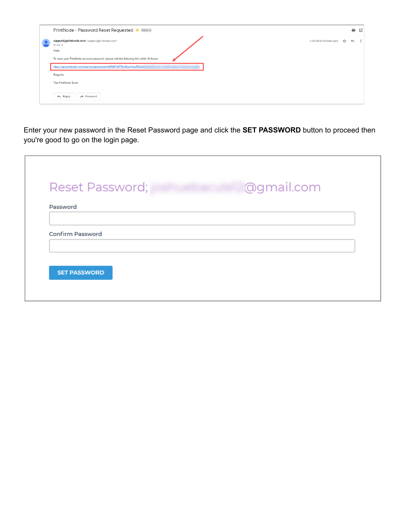| PrintNode - Password Reset Requested D Inbox x                                                    |                         |     | e            |
|---------------------------------------------------------------------------------------------------|-------------------------|-----|--------------|
| support@printnode.com <support@printnode.com><br/>to me <math>\sim</math></support@printnode.com> | 3:48 AM (0 minutes ago) | ਮੈਂ | $\leftarrow$ |
| Hello,                                                                                            |                         |     |              |
| To reset your PrintNode account password, please visit the following link within 24 hours:        |                         |     |              |
| https://api.printnode.com/app/resetpassword/dd39d01df75bd9ce41aa85e0e0                            |                         |     |              |
| Regards,                                                                                          |                         |     |              |
| The PrintNode Team                                                                                |                         |     |              |
| $\leftarrow$ Reply<br>$\rightarrow$ Forward                                                       |                         |     |              |

Enter your new password in the Reset Password page and click the **SET PASSWORD** button to proceed then you're good to go on the login page.

|  |  | @gmail.com |  |
|--|--|------------|--|
|  |  |            |  |
|  |  |            |  |
|  |  |            |  |
|  |  |            |  |
|  |  |            |  |
|  |  |            |  |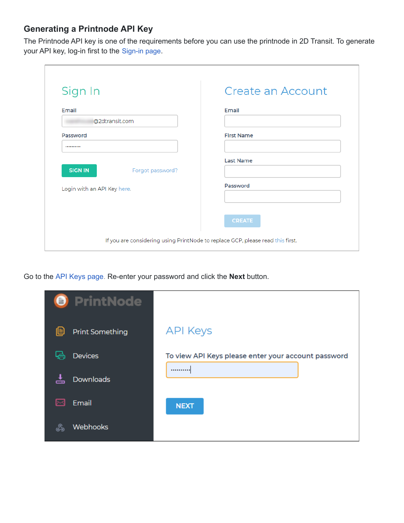# **Generating a Printnode API Key**

The Printnode API key is one of the requirements before you can use the printnode in 2D Transit. To generate your API key, log-in first to the [Sign-in page](https://app.printnode.com/app/login).

| Sign In                            | Create an Account |
|------------------------------------|-------------------|
| Email<br>@2dtransit.com            | Email             |
| Password<br>                       | <b>First Name</b> |
| <b>SIGN IN</b><br>Forgot password? | <b>Last Name</b>  |
| Login with an API Key here.        | Password          |
|                                    | <b>CREATE</b>     |

Go to the API Keys [page](https://app.printnode.com/app/apikeys). Re-enter your password and click the **Next** button.

| <b>O</b> PrintNode          |                                                     |
|-----------------------------|-----------------------------------------------------|
| 但<br><b>Print Something</b> | <b>API Keys</b>                                     |
| ہا۔<br><b>Devices</b>       | To view API Keys please enter your account password |
| <b>Downloads</b><br>÷       |                                                     |
| Email<br>ᢂ                  | <b>NEXT</b>                                         |
| <b>Webhooks</b><br>L        |                                                     |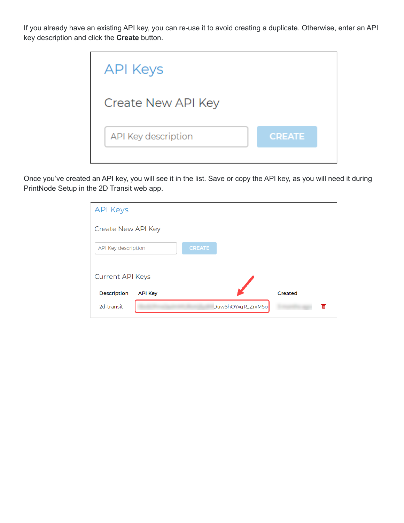If you already have an existing API key, you can re-use it to avoid creating a duplicate. Otherwise, enter an API key description and click the **Create** button.



Once you've created an API key, you will see it in the list. Save or copy the API key, as you will need it during PrintNode Setup in the 2D Transit web app.

| <b>API Keys</b>                      |               |                        |
|--------------------------------------|---------------|------------------------|
| Create New API Key                   |               |                        |
| API Key description                  | <b>CREATE</b> |                        |
| <b>Current API Keys</b>              |               |                        |
| <b>Description</b><br><b>API Key</b> |               | Created                |
| 2d-transit                           |               | DuwShOYxgR_ZrxM5o<br>而 |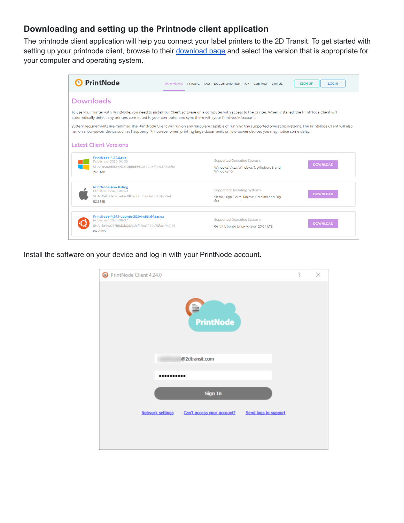## **Downloading and setting up the Printnode client application**

The printnode client application will help you connect your label printers to the 2D Transit. To get started with setting up your printnode client, browse to their [download](https://www.printnode.com/en/download) page and select the version that is appropriate for your computer and operating system.



Install the software on your device and log in with your PrintNode account.

| PrintNode Client 4.24.0                                                | ? | × |
|------------------------------------------------------------------------|---|---|
| ₿<br><b>PrintNode</b>                                                  |   |   |
| @2dtransit.com                                                         |   |   |
|                                                                        |   |   |
| <b>Sign In</b>                                                         |   |   |
| Network settings<br>Send logs to support<br>Can't access your account? |   |   |
|                                                                        |   |   |
|                                                                        |   |   |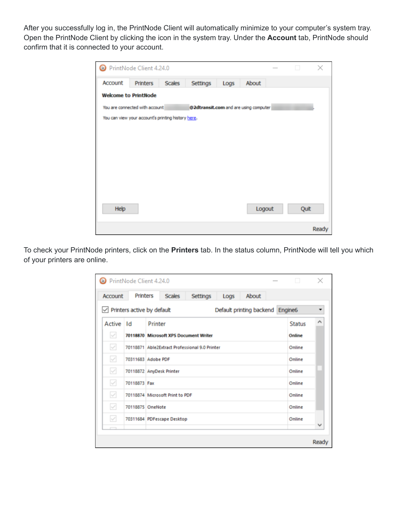After you successfully log in, the PrintNode Client will automatically minimize to your computer's system tray. Open the PrintNode Client by clicking the icon in the system tray. Under the **Account** tab, PrintNode should confirm that it is connected to your account.

|         | PrintNode Client 4.24.0                            |        |                                       |      |        | H    | ×     |
|---------|----------------------------------------------------|--------|---------------------------------------|------|--------|------|-------|
| Account | Printers                                           | Scales | Settings                              | Logs | About  |      |       |
|         | <b>Welcome to PrintNode</b>                        |        |                                       |      |        |      |       |
|         | You are connected with account                     |        | @2dtransit.com and are using computer |      |        |      |       |
|         | You can view your account's printing history here. |        |                                       |      |        |      |       |
|         |                                                    |        |                                       |      |        |      |       |
|         |                                                    |        |                                       |      |        |      |       |
|         |                                                    |        |                                       |      |        |      |       |
|         |                                                    |        |                                       |      |        |      |       |
|         |                                                    |        |                                       |      |        |      |       |
|         |                                                    |        |                                       |      |        |      |       |
|         |                                                    |        |                                       |      |        |      |       |
| Help    |                                                    |        |                                       |      | Logout | Quit |       |
|         |                                                    |        |                                       |      |        |      |       |
|         |                                                    |        |                                       |      |        |      | Ready |

To check your PrintNode printers, click on the **Printers** tab. In the status column, PrintNode will tell you which of your printers are online.

| PrintNode Client 4.24.0 |                                   |         |                                 |                                                |      |                                  | <b>Contract Contract Contract</b> | $\times$     |
|-------------------------|-----------------------------------|---------|---------------------------------|------------------------------------------------|------|----------------------------------|-----------------------------------|--------------|
| Account                 | <b>Printers</b>                   |         | Scales                          | Settings                                       | Logs | About                            |                                   |              |
|                         | $\vee$ Printers active by default |         |                                 |                                                |      | Default printing backend Engine6 |                                   |              |
| Active Id               |                                   | Printer |                                 |                                                |      |                                  | <b>Status</b>                     | ∧            |
| $\vee$                  |                                   |         |                                 | 70118870 Microsoft XPS Document Writer         |      |                                  | Online                            |              |
| $\checkmark$            |                                   |         |                                 | 70118871 Able2Extract Professional 9.0 Printer |      |                                  | Online                            |              |
| $\vee$                  | 70311683 Adobe PDF                |         |                                 |                                                |      |                                  | Online                            |              |
| $\checkmark$            | 70118872 AnyDesk Printer          |         |                                 |                                                |      |                                  | Online                            |              |
| $\checkmark$            | 70118873 Fax                      |         |                                 |                                                |      |                                  | Online                            |              |
| $\vee$                  |                                   |         | 70118874 Microsoft Print to PDF |                                                |      |                                  | Online                            |              |
| $\vee$                  | 70118875 OneNote                  |         |                                 |                                                |      |                                  | Online                            |              |
| $\vee$                  |                                   |         | 70311684 PDFescape Desktop      |                                                |      |                                  | Online                            |              |
|                         |                                   |         |                                 |                                                |      |                                  |                                   | $\checkmark$ |
|                         |                                   |         |                                 |                                                |      |                                  |                                   | Ready        |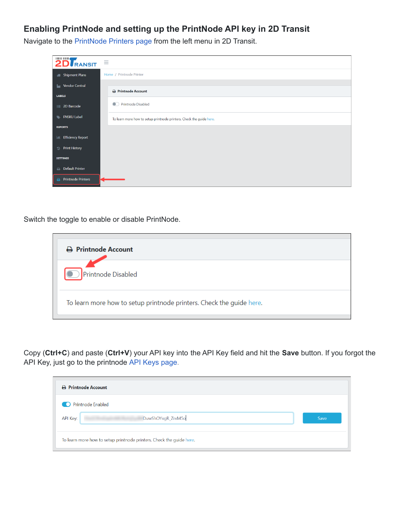# **Enabling PrintNode and setting up the PrintNode API key in 2D Transit**

2D RANSIT  $\equiv$ Home / Printnode Printer **July 3** Shipment Plans **L** Vendor Central  $\ominus$  Printnode Account LABELS Printnode Disabled **11** 2D Barcode **NEW ENSKU Label** To learn more how to setup printnode printers. Check the guide here. **REPORTS Iddl** Efficiency Report ම Print History **SETTINGS**  $\quad \oplus \quad$  Default Printer Printnode Printers

Navigate to the [PrintNode](https://app.2dtransit.com/manage/printnode) Printers page from the left menu in 2D Transit.

Switch the toggle to enable or disable PrintNode.

| A Printnode Account                                                  |
|----------------------------------------------------------------------|
| Printnode Disabled                                                   |
| To learn more how to setup printnode printers. Check the guide here. |

Copy (**Ctrl+C**) and paste (**Ctrl+V**) your API key into the API Key field and hit the **Save** button. If you forgot the API Key, just go to the printnode API Keys [page.](https://app.printnode.com/app/apikeys)

| A Printnode Account                                                  |      |
|----------------------------------------------------------------------|------|
| <b>Printnode Enabled</b>                                             |      |
| DuwShOYxgR_ZrxM5o<br>API Key:                                        | Save |
| To learn more how to setup printnode printers. Check the guide here. |      |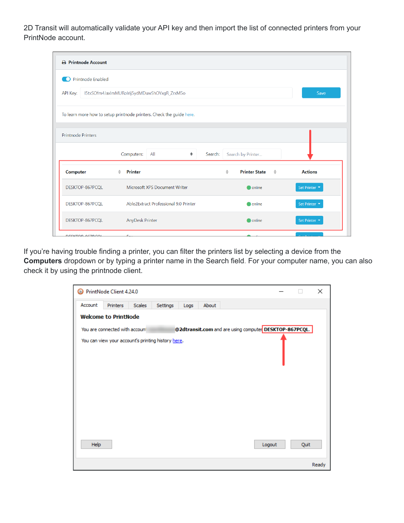2D Transit will automatically validate your API key and then import the list of connected printers from your PrintNode account.

| A Printnode Account                        |                                                                      |                                                      |                |  |  |
|--------------------------------------------|----------------------------------------------------------------------|------------------------------------------------------|----------------|--|--|
| <b>Printnode Enabled</b><br>$\blacksquare$ |                                                                      |                                                      |                |  |  |
| API Key:                                   | I5txSOfm4JaxlmMURoIrij5ydMDuwShOYxgR_ZrxM5o<br>Save                  |                                                      |                |  |  |
|                                            | To learn more how to setup printnode printers. Check the guide here. |                                                      |                |  |  |
| <b>Printnode Printers</b>                  |                                                                      |                                                      |                |  |  |
|                                            | Computers:<br>All<br>÷                                               | Search:<br>Search by Printer                         |                |  |  |
| <b>Computer</b>                            | Printer<br>$\triangleq$                                              | $\triangleq$<br><b>Printer State</b><br>$\triangleq$ | <b>Actions</b> |  |  |
| DESKTOP-867PCQL                            | Microsoft XPS Document Writer                                        | online                                               | Set Printer    |  |  |
| DESKTOP-867PCQL                            | Able2Extract Professional 9.0 Printer                                | <b>O</b> online                                      | Set Printer    |  |  |
| DESKTOP-867PCQL                            | AnyDesk Printer                                                      | online                                               | Set Printer    |  |  |
| DECISTOR REZROAL                           | е                                                                    |                                                      |                |  |  |

If you're having trouble finding a printer, you can filter the printers list by selecting a device from the **Computers** dropdown or by typing a printer name in the Search field. For your computer name, you can also check it by using the printnode client.